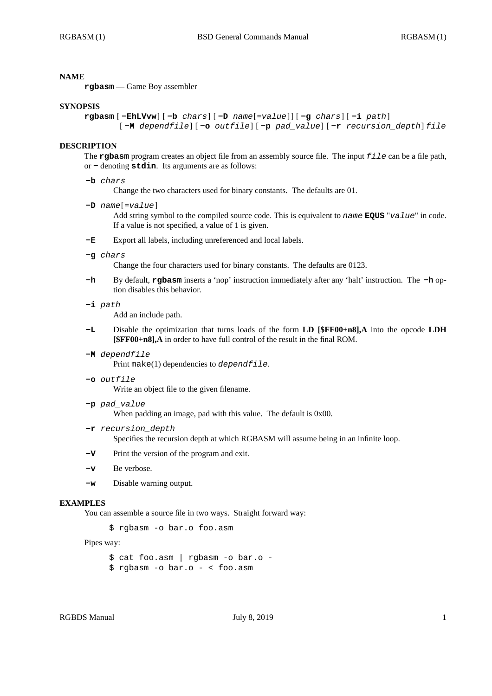## **NAME**

**rgbasm** — Game Boy assembler

### **SYNOPSIS**

```
rgbasm [ -EhLVvw] [ -b chars] [ -D name[=value] ] [ -g chars] [ -i path]
        [ -M dependfile] [ -o outfile] [ -p pad_value] [ -r recursion_depth] file
```
### **DESCRIPTION**

The **rgbasm** program creates an object file from an assembly source file. The input *file* can be a file path, or **-** denoting **stdin**. Its arguments are as follows:

## **-b** *chars*

Change the two characters used for binary constants. The defaults are 01.

**-D** *name*[=*value*]

Add string symbol to the compiled source code. This is equivalent to *name* **EQUS** "*value*" in code. If a value is not specified, a value of 1 is given.

- **-E** Export all labels, including unreferenced and local labels.
- **-g** *chars*

Change the four characters used for binary constants. The defaults are 0123.

- **-h** By default, **rgbasm** inserts a 'nop' instruction immediately after any 'halt' instruction. The **-h** option disables this behavior.
- **-i** *path*

Add an include path.

- **-L** Disable the optimization that turns loads of the form **LD [\$FF00+n8],A** into the opcode **LDH [\$FF00+n8],A** in order to have full control of the result in the final ROM.
- **-M** *dependfile*

Print make(1) dependencies to *dependfile*.

**-o** *outfile*

Write an object file to the given filename.

**-p** *pad\_value*

When padding an image, pad with this value. The default is 0x00.

**-r** *recursion\_depth*

Specifies the recursion depth at which RGBASM will assume being in an infinite loop.

- **-V** Print the version of the program and exit.
- **-v** Be verbose.
- **-w** Disable warning output.

## **EXAMPLES**

You can assemble a source file in two ways. Straight forward way:

\$ rgbasm -o bar.o foo.asm

Pipes way:

```
$ cat foo.asm | rgbasm -o bar.o -
$ rgbasm -o bar.o - < foo.asm
```